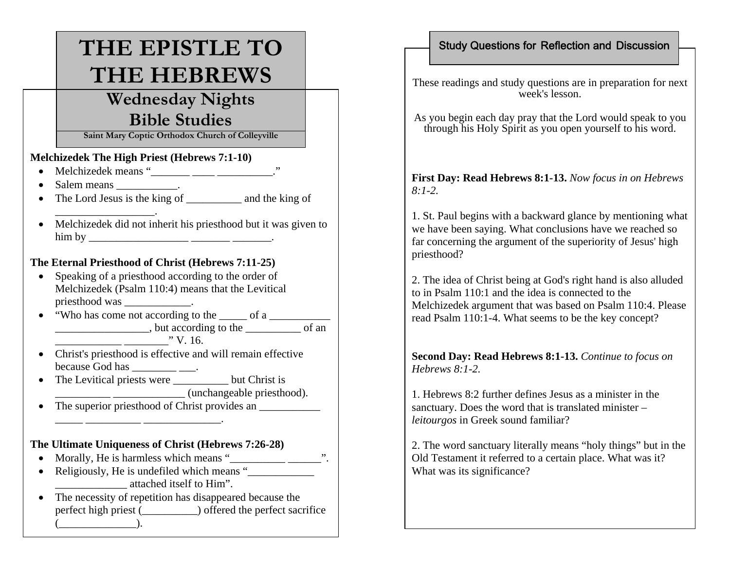# **THE EPISTLE TO THE HEBREWS**

## **Wednesday Nights Bible Studies**

**Saint Mary Coptic Orthodox Church of Colleyville**

#### **Melchizedek The High Priest (Hebrews 7:1-10)**

 $\bullet$ Melchizedek means "\_\_\_\_\_\_ \_\_\_\_\_ \_\_\_\_\_\_\_\_\_\_."

 $\blacksquare$ 

- •Salem means \_\_\_\_\_\_\_\_\_\_\_.
- The Lord Jesus is the king of \_\_\_\_\_\_\_\_\_\_\_\_ and the king of
- Melchizedek did not inherit his priesthood but it was given to him by \_\_\_\_\_\_\_\_\_\_\_\_\_\_\_\_\_\_ \_\_\_\_\_\_\_ \_\_\_\_\_\_\_.

#### **The Eternal Priesthood of Christ (Hebrews 7:11-25)**

- • Speaking of a priesthood according to the order of Melchizedek (Psalm 110:4) means that the Levitical priesthood was \_\_\_\_\_\_\_\_\_\_\_\_.
- "Who has come not according to the  $\frac{1}{\sqrt{1-\frac{1}{n}}}\$ \_\_\_\_\_\_\_\_\_\_\_\_\_\_\_\_\_, but according to the \_\_\_\_\_\_\_\_\_\_ of an  $\frac{1}{2}$   $\frac{1}{2}$   $\frac{1}{2}$   $\frac{1}{2}$   $\frac{1}{2}$   $\frac{1}{2}$   $\frac{1}{2}$   $\frac{1}{2}$   $\frac{1}{2}$   $\frac{1}{2}$   $\frac{1}{2}$   $\frac{1}{2}$   $\frac{1}{2}$   $\frac{1}{2}$   $\frac{1}{2}$   $\frac{1}{2}$   $\frac{1}{2}$   $\frac{1}{2}$   $\frac{1}{2}$   $\frac{1}{2}$   $\frac{1}{2}$   $\frac{1}{2}$

- Christ's priesthood is effective and will remain effective because God has  $\frac{1}{\sqrt{1-\frac{1}{n}}}\frac{1}{\sqrt{1-\frac{1}{n}}}\cdots$
- •The Levitical priests were but Christ is  $\frac{1}{2}$   $\frac{1}{2}$   $\frac{1}{2}$   $\frac{1}{2}$   $\frac{1}{2}$   $\frac{1}{2}$   $\frac{1}{2}$   $\frac{1}{2}$   $\frac{1}{2}$   $\frac{1}{2}$   $\frac{1}{2}$   $\frac{1}{2}$   $\frac{1}{2}$   $\frac{1}{2}$   $\frac{1}{2}$   $\frac{1}{2}$   $\frac{1}{2}$   $\frac{1}{2}$   $\frac{1}{2}$   $\frac{1}{2}$   $\frac{1}{2}$   $\frac{1}{2}$
- •The superior priesthood of Christ provides an \_\_\_\_\_ \_\_\_\_\_\_\_\_\_\_ \_\_\_\_\_\_\_\_\_\_\_\_\_\_.

#### **The Ultimate Uniqueness of Christ (Hebrews 7:26-28)**

- •Morally, He is harmless which means "\_\_\_\_\_\_\_\_\_\_ \_\_\_\_\_\_".
- •Religiously, He is undefiled which means " \_\_\_\_\_\_\_\_\_\_\_\_\_ attached itself to Him".
- • The necessity of repetition has disappeared because the perfect high priest () offered the perfect sacrifice  $($  ).

### Study Questions for Reflection and Discussion

These readings and study questions are in preparation for next week's lesson.

As you begin each day pray that the Lord would speak to you through his Holy Spirit as you open yourself to his word.

#### **First Day: Read Hebrews 8:1-13.** *Now focus in on Hebrews 8:1-2.*

1. St. Paul begins with a backward glance by mentioning what we have been saying. What conclusions have we reached so far concerning the argument of the superiority of Jesus' high priesthood?

2. The idea of Christ being at God's right hand is also alluded to in Psalm 110:1 and the idea is connected to the Melchizedek argument that was based on Psalm 110:4. Please read Psalm 110:1-4. What seems to be the key concept?

**Second Day: Read Hebrews 8:1-13.** *Continue to focus on Hebrews 8:1-2.*

1. Hebrews 8:2 further defines Jesus as a minister in the sanctuary. Does the word that is translated minister – *leitourgos* in Greek sound familiar?

2. The word sanctuary literally means "holy things" but in the Old Testament it referred to a certain place. What was it? What was its significance?